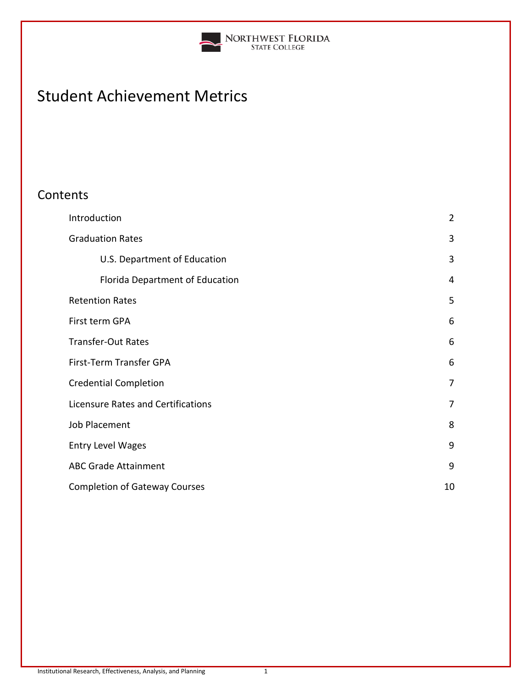

# Student Achievement Metrics

# **Contents**

| Introduction                         | $\overline{2}$ |
|--------------------------------------|----------------|
| <b>Graduation Rates</b>              | 3              |
| U.S. Department of Education         | 3              |
| Florida Department of Education      | 4              |
| <b>Retention Rates</b>               | 5              |
| First term GPA                       | 6              |
| <b>Transfer-Out Rates</b>            | 6              |
| First-Term Transfer GPA              | 6              |
| <b>Credential Completion</b>         | $\overline{7}$ |
| Licensure Rates and Certifications   | 7              |
| <b>Job Placement</b>                 | 8              |
| <b>Entry Level Wages</b>             | 9              |
| <b>ABC Grade Attainment</b>          | 9              |
| <b>Completion of Gateway Courses</b> | 10             |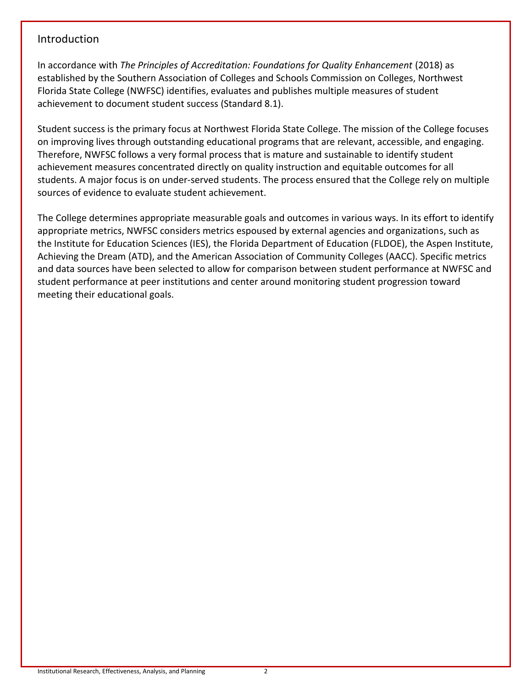# Introduction

In accordance with *The Principles of Accreditation: Foundations for Quality Enhancement* (2018) as established by the Southern Association of Colleges and Schools Commission on Colleges, Northwest Florida State College (NWFSC) identifies, evaluates and publishes multiple measures of student achievement to document student success (Standard 8.1).

Student success is the primary focus at Northwest Florida State College. The mission of the College focuses on improving lives through outstanding educational programs that are relevant, accessible, and engaging. Therefore, NWFSC follows a very formal process that is mature and sustainable to identify student achievement measures concentrated directly on quality instruction and equitable outcomes for all students. A major focus is on under-served students. The process ensured that the College rely on multiple sources of evidence to evaluate student achievement.

The College determines appropriate measurable goals and outcomes in various ways. In its effort to identify appropriate metrics, NWFSC considers metrics espoused by external agencies and organizations, such as the Institute for Education Sciences (IES), the Florida Department of Education (FLDOE), the Aspen Institute, Achieving the Dream (ATD), and the American Association of Community Colleges (AACC). Specific metrics and data sources have been selected to allow for comparison between student performance at NWFSC and student performance at peer institutions and center around monitoring student progression toward meeting their educational goals.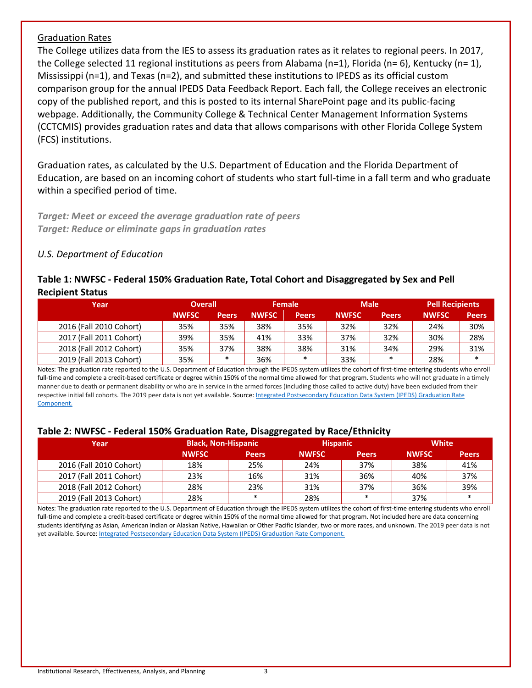# Graduation Rates

The College utilizes data from the IES to assess its graduation rates as it relates to regional peers. In 2017, the College selected 11 regional institutions as peers from Alabama (n=1), Florida (n= 6), Kentucky (n= 1), Mississippi (n=1), and Texas (n=2), and submitted these institutions to IPEDS as its official custom comparison group for the annual IPEDS Data Feedback Report. Each fall, the College receives an electronic copy of the published report, and this is posted to its internal SharePoint page and its public-facing webpage. Additionally, the Community College & Technical Center Management Information Systems (CCTCMIS) provides graduation rates and data that allows comparisons with other Florida College System (FCS) institutions.

Graduation rates, as calculated by the U.S. Department of Education and the Florida Department of Education, are based on an incoming cohort of students who start full-time in a fall term and who graduate within a specified period of time.

*Target: Meet or exceed the average graduation rate of peers Target: Reduce or eliminate gaps in graduation rates*

# *U.S. Department of Education*

# **Table 1: NWFSC - Federal 150% Graduation Rate, Total Cohort and Disaggregated by Sex and Pell Recipient Status**

| Year                    | <b>Overall</b> |              | <b>Female</b> |              | <b>Male</b>  |              | <b>Pell Recipients</b> |              |
|-------------------------|----------------|--------------|---------------|--------------|--------------|--------------|------------------------|--------------|
|                         | <b>NWFSC</b>   | <b>Peers</b> | <b>NWFSC</b>  | <b>Peers</b> | <b>NWFSC</b> | <b>Peers</b> | <b>NWFSC</b>           | <b>Peers</b> |
| 2016 (Fall 2010 Cohort) | 35%            | 35%          | 38%           | 35%          | 32%          | 32%          | 24%                    | 30%          |
| 2017 (Fall 2011 Cohort) | 39%            | 35%          | 41%           | 33%          | 37%          | 32%          | 30%                    | 28%          |
| 2018 (Fall 2012 Cohort) | 35%            | 37%          | 38%           | 38%          | 31%          | 34%          | 29%                    | 31%          |
| 2019 (Fall 2013 Cohort) | 35%            | $\ast$       | 36%           | $\ast$       | 33%          | $\ast$       | 28%                    | $\ast$       |

Notes: The graduation rate reported to the U.S. Department of Education through the IPEDS system utilizes the cohort of first-time entering students who enroll full-time and complete a credit-based certificate or degree within 150% of the normal time allowed for that program. Students who will not graduate in a timely manner due to death or permanent disability or who are in service in the armed forces (including those called to active duty) have been excluded from their respective initial fall cohorts. The 2019 peer data is not yet available. Source: Integrated Postsecondary Education Data System (IPEDS) Graduation Rate [Component.](https://nces.ed.gov/ipeds)

#### **Table 2: NWFSC - Federal 150% Graduation Rate, Disaggregated by Race/Ethnicity**

| Year                    | <b>Black, Non-Hispanic</b> |              | <b>Hispanic</b> |              | <b>White</b> |              |
|-------------------------|----------------------------|--------------|-----------------|--------------|--------------|--------------|
|                         | <b>NWFSC</b>               | <b>Peers</b> | <b>NWFSC</b>    | <b>Peers</b> | <b>NWFSC</b> | <b>Peers</b> |
| 2016 (Fall 2010 Cohort) | 18%                        | 25%          | 24%             | 37%          | 38%          | 41%          |
| 2017 (Fall 2011 Cohort) | 23%                        | 16%          | 31%             | 36%          | 40%          | 37%          |
| 2018 (Fall 2012 Cohort) | 28%                        | 23%          | 31%             | 37%          | 36%          | 39%          |
| 2019 (Fall 2013 Cohort) | 28%                        | $\ast$       | 28%             | *            | 37%          | $\ast$       |

Notes: The graduation rate reported to the U.S. Department of Education through the IPEDS system utilizes the cohort of first-time entering students who enroll full-time and complete a credit-based certificate or degree within 150% of the normal time allowed for that program. Not included here are data concerning students identifying as Asian, American Indian or Alaskan Native, Hawaiian or Other Pacific Islander, two or more races, and unknown. The 2019 peer data is not yet available. Source: **Integrated Postsecondary Education Data System (IPEDS) Graduation Rate Component.**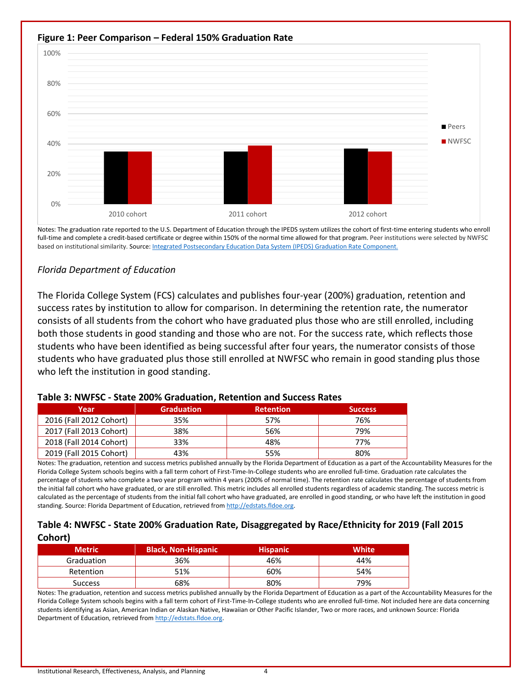

Notes: The graduation rate reported to the U.S. Department of Education through the IPEDS system utilizes the cohort of first-time entering students who enroll full-time and complete a credit-based certificate or degree within 150% of the normal time allowed for that program. Peer institutions were selected by NWFSC based on institutional similarity. Source[: Integrated Postsecondary Education Data System \(IPEDS\) Graduation Rate Component.](https://nces.ed.gov/ipeds)

# *Florida Department of Education*

The Florida College System (FCS) calculates and publishes four-year (200%) graduation, retention and success rates by institution to allow for comparison. In determining the retention rate, the numerator consists of all students from the cohort who have graduated plus those who are still enrolled, including both those students in good standing and those who are not. For the success rate, which reflects those students who have been identified as being successful after four years, the numerator consists of those students who have graduated plus those still enrolled at NWFSC who remain in good standing plus those who left the institution in good standing.

| Year                    | <b>Graduation</b> | <b>Retention</b> | <b>Success</b> |  |  |  |
|-------------------------|-------------------|------------------|----------------|--|--|--|
| 2016 (Fall 2012 Cohort) | 35%               | 57%              | 76%            |  |  |  |
| 2017 (Fall 2013 Cohort) | 38%               | 56%              | 79%            |  |  |  |
| 2018 (Fall 2014 Cohort) | 33%               | 48%              | 77%            |  |  |  |
| 2019 (Fall 2015 Cohort) | 43%               | 55%              | 80%            |  |  |  |

#### **Table 3: NWFSC - State 200% Graduation, Retention and Success Rates**

Notes: The graduation, retention and success metrics published annually by the Florida Department of Education as a part of the Accountability Measures for the Florida College System schools begins with a fall term cohort of First-Time-In-College students who are enrolled full-time. Graduation rate calculates the percentage of students who complete a two year program within 4 years (200% of normal time). The retention rate calculates the percentage of students from the initial fall cohort who have graduated, or are still enrolled. This metric includes all enrolled students regardless of academic standing. The success metric is calculated as the percentage of students from the initial fall cohort who have graduated, are enrolled in good standing, or who have left the institution in good standing. Source: Florida Department of Education, retrieved from [http://edstats.fldoe.org.](http://edstats.fldoe.org/)

# **Table 4: NWFSC - State 200% Graduation Rate, Disaggregated by Race/Ethnicity for 2019 (Fall 2015 Cohort)**

| <b>Metric</b>  | <b>Black, Non-Hispanic</b> | <b>Hispanic</b> | White |
|----------------|----------------------------|-----------------|-------|
| Graduation     | 36%                        | 46%             | 44%   |
| Retention      | 51%                        | 60%             | 54%   |
| <b>Success</b> | 68%                        | 80%             | 79%   |

Notes: The graduation, retention and success metrics published annually by the Florida Department of Education as a part of the Accountability Measures for the Florida College System schools begins with a fall term cohort of First-Time-In-College students who are enrolled full-time. Not included here are data concerning students identifying as Asian, American Indian or Alaskan Native, Hawaiian or Other Pacific Islander, Two or more races, and unknown Source: Florida Department of Education, retrieved fro[m http://edstats.fldoe.org.](http://edstats.fldoe.org/)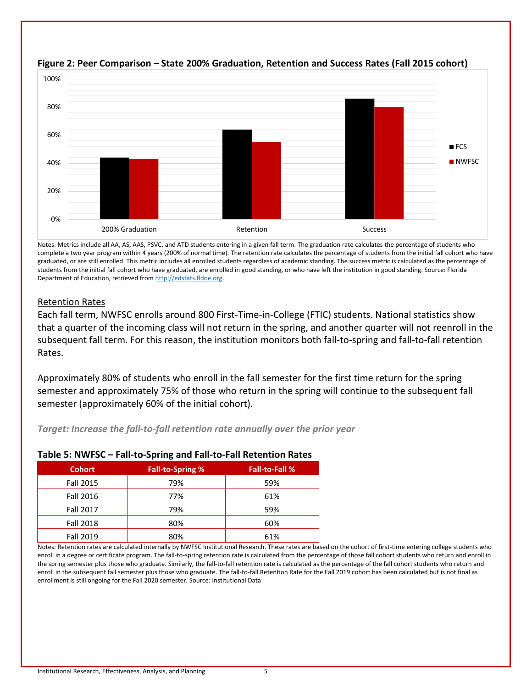

# **Figure 2: Peer Comparison – State 200% Graduation, Retention and Success Rates (Fall 2015 cohort)**

Notes: Metrics include all AA, AS, AAS, PSVC, and ATD students entering in a given fall term. The graduation rate calculates the percentage of students who complete a two year program within 4 years (200% of normal time). The retention rate calculates the percentage of students from the initial fall cohort who have graduated, or are still enrolled. This metric includes all enrolled students regardless of academic standing. The success metric is calculated as the percentage of students from the initial fall cohort who have graduated, are enrolled in good standing, or who have left the institution in good standing. Source: Florida Department of Education, retrieved fro[m http://edstats.fldoe.org.](http://edstats.fldoe.org/)

# Retention Rates

Each fall term, NWFSC enrolls around 800 First-Time-in-College (FTIC) students. National statistics show that a quarter of the incoming class will not return in the spring, and another quarter will not reenroll in the subsequent fall term. For this reason, the institution monitors both fall-to-spring and fall-to-fall retention Rates.

Approximately 80% of students who enroll in the fall semester for the first time return for the spring semester and approximately 75% of those who return in the spring will continue to the subsequent fall semester (approximately 60% of the initial cohort).

# *Target: Increase the fall-to-fall retention rate annually over the prior year*

| <b>Cohort</b>    | <b>Fall-to-Spring %</b> | <b>Fall-to-Fall %</b> |
|------------------|-------------------------|-----------------------|
| <b>Fall 2015</b> | 79%                     | 59%                   |
| Fall 2016        | 77%                     | 61%                   |
| <b>Fall 2017</b> | 79%                     | 59%                   |
| <b>Fall 2018</b> | 80%                     | 60%                   |
| <b>Fall 2019</b> | 80%                     | 61%                   |

# **Table 5: NWFSC – Fall-to-Spring and Fall-to-Fall Retention Rates**

Notes: Retention rates are calculated internally by NWFSC Institutional Research. These rates are based on the cohort of first-time entering college students who enroll in a degree or certificate program. The fall-to-spring retention rate is calculated from the percentage of those fall cohort students who return and enroll in the spring semester plus those who graduate. Similarly, the fall-to-fall retention rate is calculated as the percentage of the fall cohort students who return and enroll in the subsequent fall semester plus those who graduate. The fall-to-fall Retention Rate for the Fall 2019 cohort has been calculated but is not final as enrollment is still ongoing for the Fall 2020 semester. Source: Institutional Data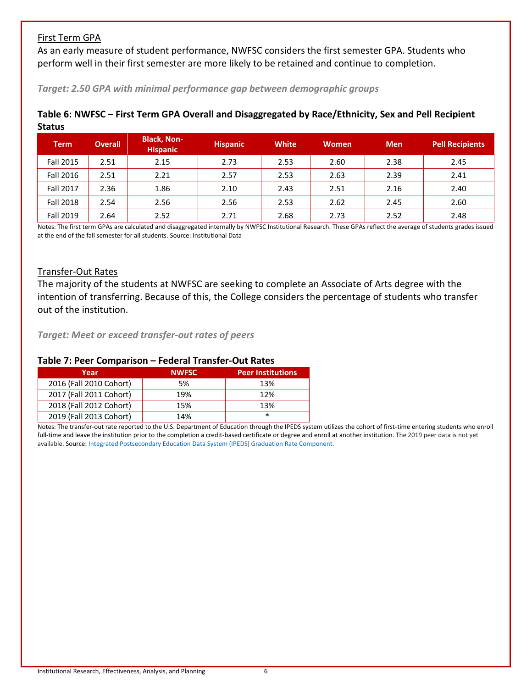# First Term GPA

As an early measure of student performance, NWFSC considers the first semester GPA. Students who perform well in their first semester are more likely to be retained and continue to completion.

#### *Target: 2.50 GPA with minimal performance gap between demographic groups*

| <b>Term</b>      | <b>Overall</b> | <b>Black, Non-</b><br><b>Hispanic</b> | <b>Hispanic</b> | <b>White</b> | <b>Women</b> | <b>Men</b> | <b>Pell Recipients</b> |
|------------------|----------------|---------------------------------------|-----------------|--------------|--------------|------------|------------------------|
| <b>Fall 2015</b> | 2.51           | 2.15                                  | 2.73            | 2.53         | 2.60         | 2.38       | 2.45                   |
| Fall 2016        | 2.51           | 2.21                                  | 2.57            | 2.53         | 2.63         | 2.39       | 2.41                   |
| <b>Fall 2017</b> | 2.36           | 1.86                                  | 2.10            | 2.43         | 2.51         | 2.16       | 2.40                   |
| <b>Fall 2018</b> | 2.54           | 2.56                                  | 2.56            | 2.53         | 2.62         | 2.45       | 2.60                   |
| Fall 2019        | 2.64           | 2.52                                  | 2.71            | 2.68         | 2.73         | 2.52       | 2.48                   |

# **Table 6: NWFSC – First Term GPA Overall and Disaggregated by Race/Ethnicity, Sex and Pell Recipient Status**

Notes: The first term GPAs are calculated and disaggregated internally by NWFSC Institutional Research. These GPAs reflect the average of students grades issued at the end of the fall semester for all students. Source: Institutional Data

# Transfer-Out Rates

The majority of the students at NWFSC are seeking to complete an Associate of Arts degree with the intention of transferring. Because of this, the College considers the percentage of students who transfer out of the institution.

*Target: Meet or exceed transfer-out rates of peers*

| Year                    | <b>NWFSC</b> | <b>Peer Institutions</b> |
|-------------------------|--------------|--------------------------|
| 2016 (Fall 2010 Cohort) | 5%           | 13%                      |
| 2017 (Fall 2011 Cohort) | 19%          | 12%                      |
| 2018 (Fall 2012 Cohort) | 15%          | 13%                      |
| 2019 (Fall 2013 Cohort) | 14%          | *                        |

#### **Table 7: Peer Comparison – Federal Transfer-Out Rates**

Notes: The transfer-out rate reported to the U.S. Department of Education through the IPEDS system utilizes the cohort of first-time entering students who enroll full-time and leave the institution prior to the completion a credit-based certificate or degree and enroll at another institution. The 2019 peer data is not yet available. Source[: Integrated Postsecondary Education Data System \(IPEDS\) Graduation Rate Component.](https://nces.ed.gov/ipeds)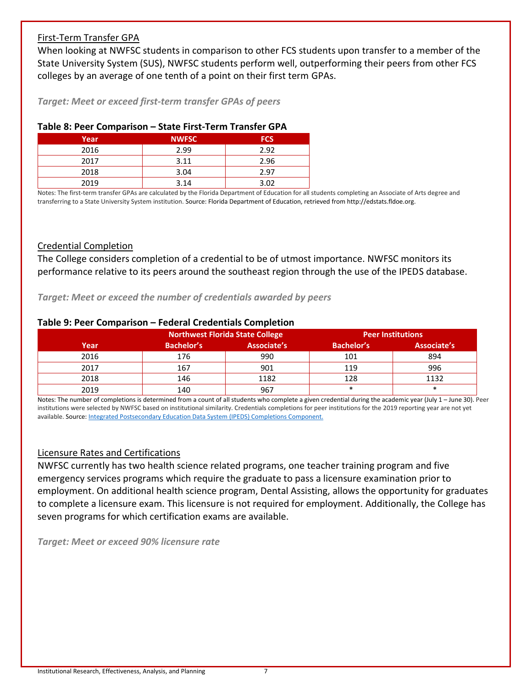# First-Term Transfer GPA

When looking at NWFSC students in comparison to other FCS students upon transfer to a member of the State University System (SUS), NWFSC students perform well, outperforming their peers from other FCS colleges by an average of one tenth of a point on their first term GPAs.

*Target: Meet or exceed first-term transfer GPAs of peers*

#### **Table 8: Peer Comparison – State First-Term Transfer GPA**

| Year | <b>NWFSC</b> | <b>FCS</b> |
|------|--------------|------------|
| 2016 | 2.99         | 2.92       |
| 2017 | 3.11         | 2.96       |
| 2018 | 3.04         | 2.97       |
| 2019 | 3.14         | 3.02       |

Notes: The first-term transfer GPAs are calculated by the Florida Department of Education for all students completing an Associate of Arts degree and transferring to a State University System institution. Source: Florida Department of Education, retrieved from http://edstats.fldoe.org.

#### Credential Completion

The College considers completion of a credential to be of utmost importance. NWFSC monitors its performance relative to its peers around the southeast region through the use of the IPEDS database.

*Target: Meet or exceed the number of credentials awarded by peers*

# **Table 9: Peer Comparison – Federal Credentials Completion**

|      |            | <b>Northwest Florida State College</b> |                   | <b>Peer Institutions</b> |
|------|------------|----------------------------------------|-------------------|--------------------------|
| Year | Bachelor's | Associate's                            | <b>Bachelor's</b> | Associate's              |
| 2016 | 176        | 990                                    | 101               | 894                      |
| 2017 | 167        | 901                                    | 119               | 996                      |
| 2018 | 146        | 1182                                   | 128               | 1132                     |
| 2019 | 140        | 967                                    | $\ast$            | $\ast$                   |

Notes: The number of completions is determined from a count of all students who complete a given credential during the academic year (July 1 – June 30). Peer institutions were selected by NWFSC based on institutional similarity. Credentials completions for peer institutions for the 2019 reporting year are not yet available. Source[: Integrated Postsecondary Education Data System \(IPEDS\) Completions Component.](https://nces.ed.gov/ipeds)

# Licensure Rates and Certifications

NWFSC currently has two health science related programs, one teacher training program and five emergency services programs which require the graduate to pass a licensure examination prior to employment. On additional health science program, Dental Assisting, allows the opportunity for graduates to complete a licensure exam. This licensure is not required for employment. Additionally, the College has seven programs for which certification exams are available.

*Target: Meet or exceed 90% licensure rate*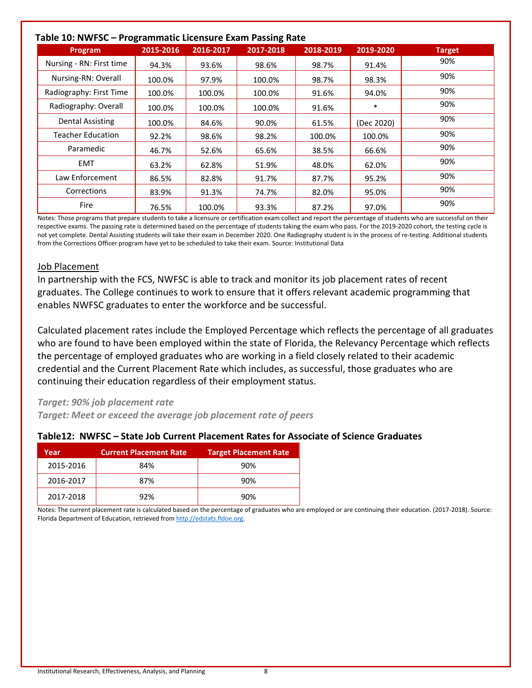# **Table 10: NWFSC – Programmatic Licensure Exam Passing Rate**

| rabie IU: NWFSC – Programmatic Licensure Exam Passing Rate |           |           |           |           |            |               |
|------------------------------------------------------------|-----------|-----------|-----------|-----------|------------|---------------|
| Program                                                    | 2015-2016 | 2016-2017 | 2017-2018 | 2018-2019 | 2019-2020  | <b>Target</b> |
| Nursing - RN: First time                                   | 94.3%     | 93.6%     | 98.6%     | 98.7%     | 91.4%      | 90%           |
| Nursing-RN: Overall                                        | 100.0%    | 97.9%     | 100.0%    | 98.7%     | 98.3%      | 90%           |
| Radiography: First Time                                    | 100.0%    | 100.0%    | 100.0%    | 91.6%     | 94.0%      | 90%           |
| Radiography: Overall                                       | 100.0%    | 100.0%    | 100.0%    | 91.6%     | $\ast$     | 90%           |
| Dental Assisting                                           | 100.0%    | 84.6%     | 90.0%     | 61.5%     | (Dec 2020) | 90%           |
| <b>Teacher Education</b>                                   | 92.2%     | 98.6%     | 98.2%     | 100.0%    | 100.0%     | 90%           |
| Paramedic                                                  | 46.7%     | 52.6%     | 65.6%     | 38.5%     | 66.6%      | 90%           |
| EMT                                                        | 63.2%     | 62.8%     | 51.9%     | 48.0%     | 62.0%      | 90%           |
| Law Enforcement                                            | 86.5%     | 82.8%     | 91.7%     | 87.7%     | 95.2%      | 90%           |
| Corrections                                                | 83.9%     | 91.3%     | 74.7%     | 82.0%     | 95.0%      | 90%           |
| Fire                                                       | 76.5%     | 100.0%    | 93.3%     | 87.2%     | 97.0%      | 90%           |

Notes: Those programs that prepare students to take a licensure or certification exam collect and report the percentage of students who are successful on their respective exams. The passing rate is determined based on the percentage of students taking the exam who pass. For the 2019-2020 cohort, the testing cycle is not yet complete. Dental Assisting students will take their exam in December 2020. One Radiography student is in the process of re-testing. Additional students from the Corrections Officer program have yet to be scheduled to take their exam. Source: Institutional Data

#### Job Placement

In partnership with the FCS, NWFSC is able to track and monitor its job placement rates of recent graduates. The College continues to work to ensure that it offers relevant academic programming that enables NWFSC graduates to enter the workforce and be successful.

Calculated placement rates include the Employed Percentage which reflects the percentage of all graduates who are found to have been employed within the state of Florida, the Relevancy Percentage which reflects the percentage of employed graduates who are working in a field closely related to their academic credential and the Current Placement Rate which includes, as successful, those graduates who are continuing their education regardless of their employment status.

# *Target: 90% job placement rate*

*Target: Meet or exceed the average job placement rate of peers*

# **Table12: NWFSC – State Job Current Placement Rates for Associate of Science Graduates**

| Year      | <b>Current Placement Rate</b> | <b>Target Placement Rate</b> |
|-----------|-------------------------------|------------------------------|
| 2015-2016 | 84%                           | 90%                          |
| 2016-2017 | 87%                           | 90%                          |
| 2017-2018 | 92%                           | 90%                          |

Notes: The current placement rate is calculated based on the percentage of graduates who are employed or are continuing their education. (2017-2018). Source: Florida Department of Education, retrieved fro[m http://edstats.fldoe.org.](http://edstats.fldoe.org/)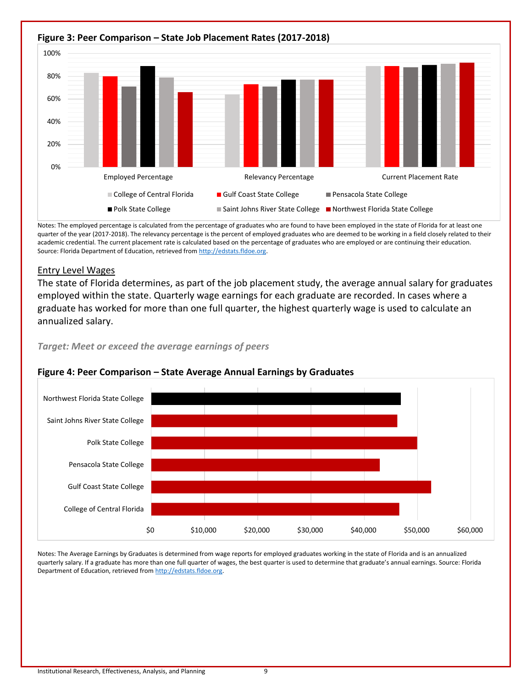

Notes: The employed percentage is calculated from the percentage of graduates who are found to have been employed in the state of Florida for at least one quarter of the year (2017-2018). The relevancy percentage is the percent of employed graduates who are deemed to be working in a field closely related to their academic credential. The current placement rate is calculated based on the percentage of graduates who are employed or are continuing their education. Source: Florida Department of Education, retrieved fro[m http://edstats.fldoe.org.](http://edstats.fldoe.org/)

#### Entry Level Wages

The state of Florida determines, as part of the job placement study, the average annual salary for graduates employed within the state. Quarterly wage earnings for each graduate are recorded. In cases where a graduate has worked for more than one full quarter, the highest quarterly wage is used to calculate an annualized salary.

*Target: Meet or exceed the average earnings of peers*



# **Figure 4: Peer Comparison – State Average Annual Earnings by Graduates**

Notes: The Average Earnings by Graduates is determined from wage reports for employed graduates working in the state of Florida and is an annualized quarterly salary. If a graduate has more than one full quarter of wages, the best quarter is used to determine that graduate's annual earnings. Source: Florida Department of Education, retrieved fro[m http://edstats.fldoe.org.](http://edstats.fldoe.org/)